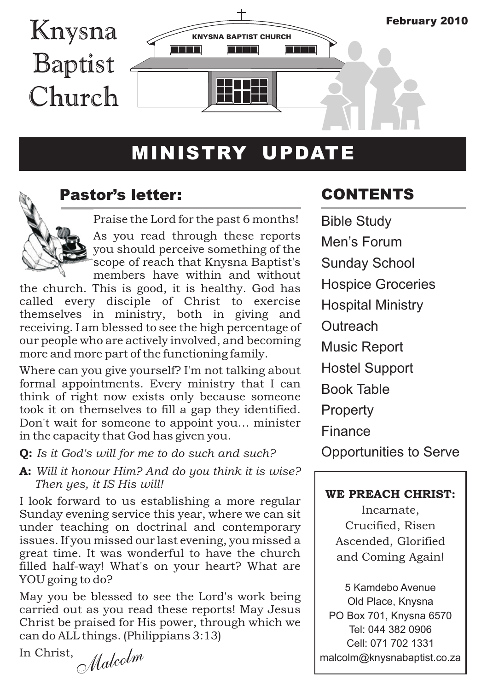

# MINISTRY UPDATE



### Pastor's letter:

Praise the Lord for the past 6 months!

As you read through these reports you should perceive something of the scope of reach that Knysna Baptist's members have within and without

the church. This is good, it is healthy. God has called every disciple of Christ to exercise themselves in ministry, both in giving and receiving. I am blessed to see the high percentage of our people who are actively involved, and becoming more and more part of the functioning family.

Where can you give yourself? I'm not talking about formal appointments. Every ministry that I can think of right now exists only because someone took it on themselves to fill a gap they identified. Don't wait for someone to appoint you… minister in the capacity that God has given you.

Q: *Is it God's will for me to do such and such?* 

A: *Will it honour Him? And do you think it is wise? Then yes, it IS His will!*

I look forward to us establishing a more regular Sunday evening service this year, where we can sit under teaching on doctrinal and contemporary issues. If you missed our last evening, you missed a great time. It was wonderful to have the church filled half-way! What's on your heart? What are YOU going to do?

May you be blessed to see the Lord's work being carried out as you read these reports! May Jesus Christ be praised for His power, through which we can do ALL things. (Philippians 3:13)

In Christ,

*M <sup>l</sup> <sup>o</sup> <sup>m</sup> <sup>a</sup> <sup>c</sup> <sup>l</sup>*

# CONTENTS

Bible Study Men's Forum Sunday School Hospice Groceries Hospital Ministry **Outreach** Music Report Hostel Support Book Table **Property** Finance Opportunities to Serve

#### WE PREACH CHRIST:

Incarnate, Crucified, Risen Ascended, Glorified and Coming Again!

5 Kamdebo Avenue Old Place, Knysna PO Box 701, Knysna 6570 Tel: 044 382 0906 Cell: 071 702 1331 malcolm@knysnabaptist.co.za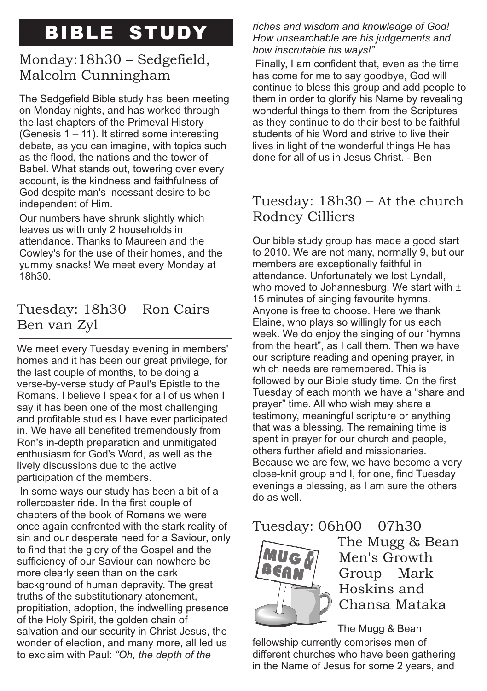# BIBLE STUDY

### Monday:18h30 – Sedgefield, Malcolm Cunningham

The Sedgefield Bible study has been meeting on Monday nights, and has worked through the last chapters of the Primeval History (Genesis 1 – 11). It stirred some interesting debate, as you can imagine, with topics such as the flood, the nations and the tower of Babel. What stands out, towering over every account, is the kindness and faithfulness of God despite man's incessant desire to be independent of Him.

Our numbers have shrunk slightly which leaves us with only 2 households in attendance. Thanks to Maureen and the Cowley's for the use of their homes, and the yummy snacks! We meet every Monday at 18h30.

# Tuesday: 18h30 – Ron Cairs Ben van Zyl

We meet every Tuesday evening in members' homes and it has been our great privilege, for the last couple of months, to be doing a verse-by-verse study of Paul's Epistle to the Romans. I believe I speak for all of us when I say it has been one of the most challenging and profitable studies I have ever participated in. We have all benefited tremendously from Ron's in-depth preparation and unmitigated enthusiasm for God's Word, as well as the lively discussions due to the active participation of the members.

 In some ways our study has been a bit of a rollercoaster ride. In the first couple of chapters of the book of Romans we were once again confronted with the stark reality of sin and our desperate need for a Saviour, only to find that the glory of the Gospel and the sufficiency of our Saviour can nowhere be more clearly seen than on the dark background of human depravity. The great truths of the substitutionary atonement, propitiation, adoption, the indwelling presence of the Holy Spirit, the golden chain of salvation and our security in Christ Jesus, the wonder of election, and many more, all led us to exclaim with Paul: *"Oh, the depth of the* 

*riches and wisdom and knowledge of God! How unsearchable are his judgements and how inscrutable his ways!"*

 Finally, I am confident that, even as the time has come for me to say goodbye, God will continue to bless this group and add people to them in order to glorify his Name by revealing wonderful things to them from the Scriptures as they continue to do their best to be faithful students of his Word and strive to live their lives in light of the wonderful things He has done for all of us in Jesus Christ. - Ben

### Tuesday: 18h30 – At the church Rodney Cilliers

Our bible study group has made a good start to 2010. We are not many, normally 9, but our members are exceptionally faithful in attendance. Unfortunately we lost Lyndall, who moved to Johannesburg. We start with  $\pm$ 15 minutes of singing favourite hymns. Anyone is free to choose. Here we thank Elaine, who plays so willingly for us each week. We do enjoy the singing of our "hymns from the heart", as I call them. Then we have our scripture reading and opening prayer, in which needs are remembered. This is followed by our Bible study time. On the first Tuesday of each month we have a "share and prayer" time. All who wish may share a testimony, meaningful scripture or anything that was a blessing. The remaining time is spent in prayer for our church and people, others further afield and missionaries. Because we are few, we have become a very close-knit group and I, for one, find Tuesday evenings a blessing, as I am sure the others do as well.

# Tuesday: 06h00 – 07h30



The Mugg & Bean Men's Growth Group – Mark Hoskins and Chansa Mataka

The Mugg & Bean fellowship currently comprises men of different churches who have been gathering in the Name of Jesus for some 2 years, and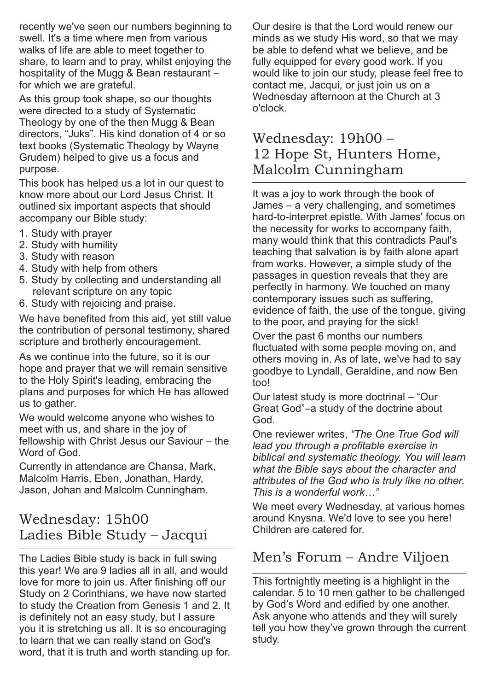recently we've seen our numbers beginning to swell. It's a time where men from various walks of life are able to meet together to share, to learn and to pray, whilst enjoying the hospitality of the Mugg & Bean restaurant for which we are grateful.

As this group took shape, so our thoughts were directed to a study of Systematic Theology by one of the then Mugg & Bean directors, "Juks". His kind donation of 4 or so text books (Systematic Theology by Wayne Grudem) helped to give us a focus and purpose.

This book has helped us a lot in our quest to know more about our Lord Jesus Christ. It outlined six important aspects that should accompany our Bible study:

- 1. Study with prayer
- 2. Study with humility
- 3. Study with reason
- 4. Study with help from others
- 5. Study by collecting and understanding all relevant scripture on any topic
- 6. Study with rejoicing and praise.

We have benefited from this aid, yet still value the contribution of personal testimony, shared scripture and brotherly encouragement.

As we continue into the future, so it is our hope and prayer that we will remain sensitive to the Holy Spirit's leading, embracing the plans and purposes for which He has allowed us to gather.

We would welcome anyone who wishes to meet with us, and share in the joy of fellowship with Christ Jesus our Saviour – the Word of God.

Currently in attendance are Chansa, Mark, Malcolm Harris, Eben, Jonathan, Hardy, Jason, Johan and Malcolm Cunningham.

### Wednesday: 15h00 Ladies Bible Study – Jacqui

The Ladies Bible study is back in full swing this year! We are 9 ladies all in all, and would love for more to join us. After finishing off our Study on 2 Corinthians, we have now started to study the Creation from Genesis 1 and 2. It is definitely not an easy study, but I assure you it is stretching us all. It is so encouraging to learn that we can really stand on God's word, that it is truth and worth standing up for.

Our desire is that the Lord would renew our minds as we study His word, so that we may be able to defend what we believe, and be fully equipped for every good work. If you would like to join our study, please feel free to contact me, Jacqui, or just join us on a Wednesday afternoon at the Church at 3 o'clock.

### Wednesday: 19h00 – 12 Hope St, Hunters Home, Malcolm Cunningham

It was a joy to work through the book of James – a very challenging, and sometimes hard-to-interpret epistle. With James' focus on the necessity for works to accompany faith, many would think that this contradicts Paul's teaching that salvation is by faith alone apart from works. However, a simple study of the passages in question reveals that they are perfectly in harmony. We touched on many contemporary issues such as suffering, evidence of faith, the use of the tongue, giving to the poor, and praying for the sick!

Over the past 6 months our numbers fluctuated with some people moving on, and others moving in. As of late, we've had to say goodbye to Lyndall, Geraldine, and now Ben too!

Our latest study is more doctrinal – "Our Great God"–a study of the doctrine about God.

One reviewer writes, *"The One True God will lead you through a profitable exercise in biblical and systematic theology. You will learn what the Bible says about the character and attributes of the God who is truly like no other. This is a wonderful work…"*

We meet every Wednesday, at various homes around Knysna. We'd love to see you here! Children are catered for.

### Men's Forum – Andre Viljoen

This fortnightly meeting is a highlight in the calendar. 5 to 10 men gather to be challenged by God's Word and edified by one another. Ask anyone who attends and they will surely tell you how they've grown through the current study.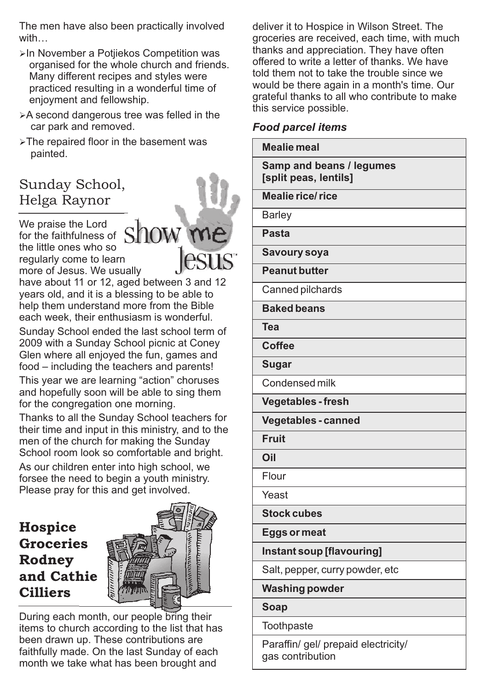The men have also been practically involved with…

- ≽In November a Potjiekos Competition was organised for the whole church and friends. Many different recipes and styles were practiced resulting in a wonderful time of enjoyment and fellowship.
- Ø A second dangerous tree was felled in the car park and removed.
- $\triangleright$ The repaired floor in the basement was painted.

# Sunday School, Helga Raynor

We praise the Lord for the faithfulness of the little ones who so regularly come to learn more of Jesus. We usually

have about 11 or 12, aged between 3 and 12 years old, and it is a blessing to be able to help them understand more from the Bible each week, their enthusiasm is wonderful.

Sunday School ended the last school term of 2009 with a Sunday School picnic at Coney Glen where all enjoyed the fun, games and food – including the teachers and parents!

This year we are learning "action" choruses and hopefully soon will be able to sing them for the congregation one morning.

Thanks to all the Sunday School teachers for their time and input in this ministry, and to the men of the church for making the Sunday School room look so comfortable and bright.

As our children enter into high school, we forsee the need to begin a youth ministry. Please pray for this and get involved.

# **Hospice** Groceries Rodney and Cathie Cilliers



During each month, our people bring their items to church according to the list that has been drawn up. These contributions are faithfully made. On the last Sunday of each month we take what has been brought and

deliver it to Hospice in Wilson Street. The groceries are received, each time, with much thanks and appreciation. They have often offered to write a letter of thanks. We have told them not to take the trouble since we would be there again in a month's time. Our grateful thanks to all who contribute to make this service possible.

#### *Food parcel items*

| Mealie meal                                       |
|---------------------------------------------------|
| Samp and beans / legumes<br>[split peas, lentils] |
| <b>Mealie rice/rice</b>                           |
| <b>Barley</b>                                     |
| Pasta                                             |
| Savoury soya                                      |
| <b>Peanut butter</b>                              |
| Canned pilchards                                  |
| <b>Baked beans</b>                                |
| Tea                                               |
| <b>Coffee</b>                                     |
| Sugar                                             |
| Condensed milk                                    |
| <b>Vegetables-fresh</b>                           |
| Vegetables - canned                               |
| <b>Fruit</b>                                      |
| Oil                                               |
| Flour                                             |
| Yeast                                             |
| <b>Stock cubes</b>                                |
| <b>Eggs or meat</b>                               |
| Instant soup [flavouring]                         |
| Salt, pepper, curry powder, etc                   |
| <b>Washing powder</b>                             |
| <b>Soap</b>                                       |
| Toothpaste                                        |
|                                                   |

Paraffin/ gel/ prepaid electricity/ gas contribution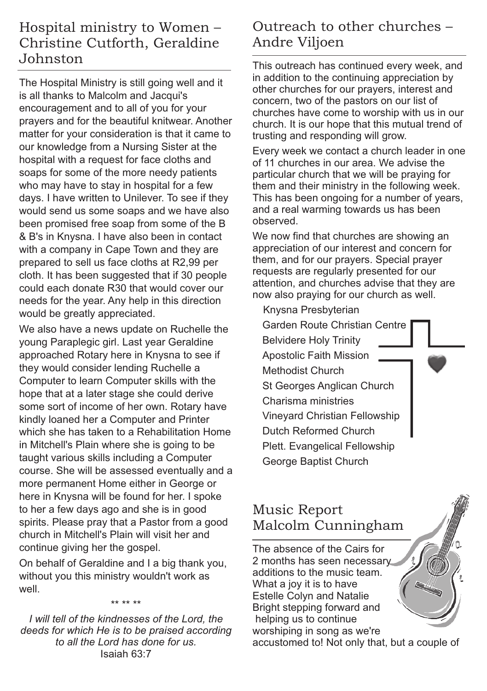### Hospital ministry to Women – Christine Cutforth, Geraldine Johnston

The Hospital Ministry is still going well and it is all thanks to Malcolm and Jacqui's encouragement and to all of you for your prayers and for the beautiful knitwear. Another matter for your consideration is that it came to our knowledge from a Nursing Sister at the hospital with a request for face cloths and soaps for some of the more needy patients who may have to stay in hospital for a few days. I have written to Unilever. To see if they would send us some soaps and we have also been promised free soap from some of the B & B's in Knysna. I have also been in contact with a company in Cape Town and they are prepared to sell us face cloths at R2,99 per cloth. It has been suggested that if 30 people could each donate R30 that would cover our needs for the year. Any help in this direction would be greatly appreciated.

We also have a news update on Ruchelle the young Paraplegic girl. Last year Geraldine approached Rotary here in Knysna to see if they would consider lending Ruchelle a Computer to learn Computer skills with the hope that at a later stage she could derive some sort of income of her own. Rotary have kindly loaned her a Computer and Printer which she has taken to a Rehabilitation Home in Mitchell's Plain where she is going to be taught various skills including a Computer course. She will be assessed eventually and a more permanent Home either in George or here in Knysna will be found for her. I spoke to her a few days ago and she is in good spirits. Please pray that a Pastor from a good church in Mitchell's Plain will visit her and continue giving her the gospel.

On behalf of Geraldine and I a big thank you, without you this ministry wouldn't work as well.

\*\* \*\* \*\*

*I will tell of the kindnesses of the Lord, the deeds for which He is to be praised according to all the Lord has done for us.* Isaiah 63:7

### Outreach to other churches – Andre Viljoen

This outreach has continued every week, and in addition to the continuing appreciation by other churches for our prayers, interest and concern, two of the pastors on our list of churches have come to worship with us in our church. It is our hope that this mutual trend of trusting and responding will grow.

Every week we contact a church leader in one of 11 churches in our area. We advise the particular church that we will be praying for them and their ministry in the following week. This has been ongoing for a number of years, and a real warming towards us has been observed.

We now find that churches are showing an appreciation of our interest and concern for them, and for our prayers. Special prayer requests are regularly presented for our attention, and churches advise that they are now also praying for our church as well.

Knysna Presbyterian

Garden Route Christian Centre Belvidere Holy Trinity Apostolic Faith Mission Methodist Church St Georges Anglican Church Charisma ministries Vineyard Christian Fellowship Dutch Reformed Church Plett. Evangelical Fellowship George Baptist Church

### Music Report Malcolm Cunningham

The absence of the Cairs for 2 months has seen necessary additions to the music team. What a joy it is to have Estelle Colyn and Natalie Bright stepping forward and helping us to continue worshiping in song as we're

accustomed to! Not only that, but a couple of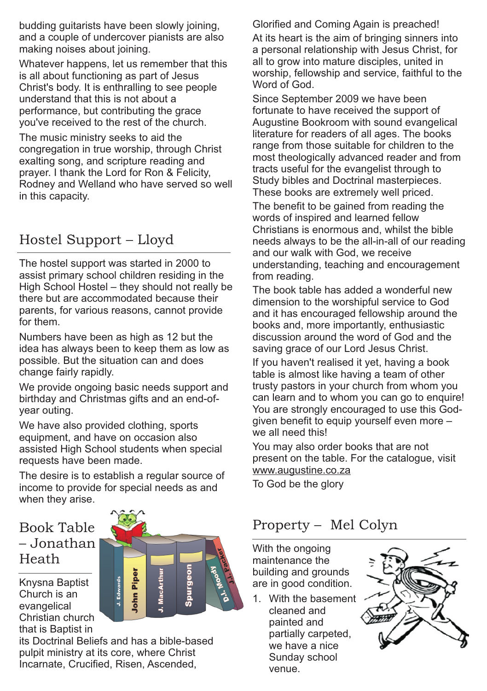budding guitarists have been slowly joining, and a couple of undercover pianists are also making noises about joining.

Whatever happens, let us remember that this is all about functioning as part of Jesus Christ's body. It is enthralling to see people understand that this is not about a performance, but contributing the grace you've received to the rest of the church.

The music ministry seeks to aid the congregation in true worship, through Christ exalting song, and scripture reading and prayer. I thank the Lord for Ron & Felicity, Rodney and Welland who have served so well in this capacity.

# Hostel Support – Lloyd

The hostel support was started in 2000 to assist primary school children residing in the High School Hostel – they should not really be there but are accommodated because their parents, for various reasons, cannot provide for them.

Numbers have been as high as 12 but the idea has always been to keep them as low as possible. But the situation can and does change fairly rapidly.

We provide ongoing basic needs support and birthday and Christmas gifts and an end-ofyear outing.

We have also provided clothing, sports equipment, and have on occasion also assisted High School students when special requests have been made.

The desire is to establish a regular source of income to provide for special needs as and when they arise.

### Book Table – Jonathan Heath

Knysna Baptist Church is an evangelical Christian church that is Baptist in

its Doctrinal Beliefs and has a bible-based pulpit ministry at its core, where Christ Incarnate, Crucified, Risen, Ascended,

Glorified and Coming Again is preached!

At its heart is the aim of bringing sinners into a personal relationship with Jesus Christ, for all to grow into mature disciples, united in worship, fellowship and service, faithful to the Word of God.

Since September 2009 we have been fortunate to have received the support of Augustine Bookroom with sound evangelical literature for readers of all ages. The books range from those suitable for children to the most theologically advanced reader and from tracts useful for the evangelist through to Study bibles and Doctrinal masterpieces. These books are extremely well priced.

The benefit to be gained from reading the words of inspired and learned fellow Christians is enormous and, whilst the bible needs always to be the all-in-all of our reading and our walk with God, we receive understanding, teaching and encouragement from reading.

The book table has added a wonderful new dimension to the worshipful service to God and it has encouraged fellowship around the books and, more importantly, enthusiastic discussion around the word of God and the saving grace of our Lord Jesus Christ.

If you haven't realised it yet, having a book table is almost like having a team of other trusty pastors in your church from whom you can learn and to whom you can go to enquire! You are strongly encouraged to use this Godgiven benefit to equip yourself even more – we all need this!

You may also order books that are not present on the table. For the catalogue, visit www.augustine.co.za

To God be the glory

# Property – Mel Colyn

With the ongoing maintenance the building and grounds are in good condition.

1. With the basement cleaned and painted and partially carpeted, we have a nice Sunday school venue.



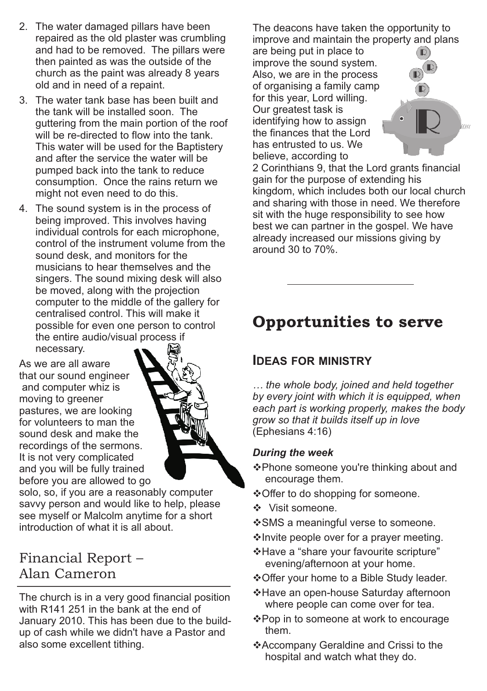- 2. The water damaged pillars have been repaired as the old plaster was crumbling and had to be removed. The pillars were then painted as was the outside of the church as the paint was already 8 years old and in need of a repaint.
- 3. The water tank base has been built and the tank will be installed soon. The guttering from the main portion of the roof will be re-directed to flow into the tank. This water will be used for the Baptistery and after the service the water will be pumped back into the tank to reduce consumption. Once the rains return we might not even need to do this.
- 4. The sound system is in the process of being improved. This involves having individual controls for each microphone, control of the instrument volume from the sound desk, and monitors for the musicians to hear themselves and the singers. The sound mixing desk will also be moved, along with the projection computer to the middle of the gallery for centralised control. This will make it possible for even one person to control the entire audio/visual process if necessary.

As we are all aware that our sound engineer and computer whiz is moving to greener pastures, we are looking for volunteers to man the sound desk and make the recordings of the sermons. It is not very complicated and you will be fully trained before you are allowed to go



solo, so, if you are a reasonably computer savvy person and would like to help, please see myself or Malcolm anytime for a short introduction of what it is all about.

### Financial Report – Alan Cameron

The church is in a very good financial position with R141 251 in the bank at the end of January 2010. This has been due to the buildup of cash while we didn't have a Pastor and also some excellent tithing.

The deacons have taken the opportunity to improve and maintain the property and plans

are being put in place to improve the sound system. Also, we are in the process of organising a family camp for this year, Lord willing. Our greatest task is identifying how to assign the finances that the Lord has entrusted to us. We believe, according to



2 Corinthians 9, that the Lord grants financial gain for the purpose of extending his kingdom, which includes both our local church and sharing with those in need. We therefore sit with the huge responsibility to see how best we can partner in the gospel. We have already increased our missions giving by around 30 to 70%.

# Opportunities to serve

#### **IDEAS FOR MINISTRY**

*… the whole body, joined and held together by every joint with which it is equipped, when each part is working properly, makes the body grow so that it builds itself up in love*  (Ephesians 4:16)

#### *During the week*

- vPhone someone you're thinking about and encourage them.
- ❖ Offer to do shopping for someone.
- ❖ Visit someone.
- v SMS a meaningful verse to someone.
- v Invite people over for a prayer meeting.
- v Have a "share your favourite scripture" evening/afternoon at your home.
- v Offer your home to a Bible Study leader.
- v Have an open-house Saturday afternoon where people can come over for tea.
- v Pop in to someone at work to encourage them.
- v Accompany Geraldine and Crissi to the hospital and watch what they do.